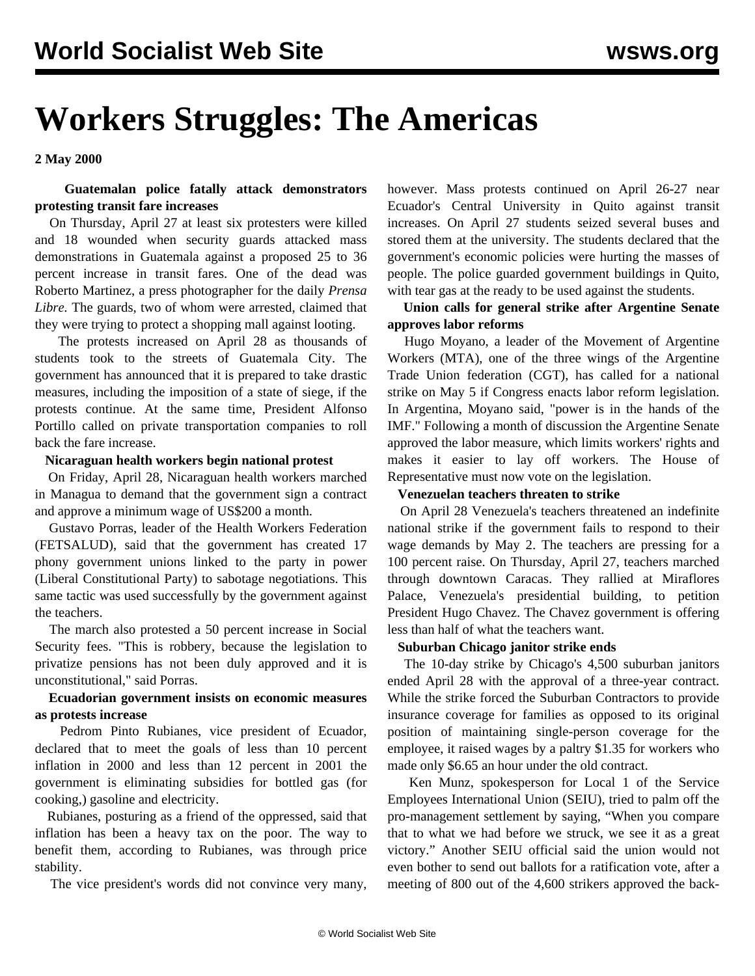# **Workers Struggles: The Americas**

**2 May 2000**

# **Guatemalan police fatally attack demonstrators protesting transit fare increases**

 On Thursday, April 27 at least six protesters were killed and 18 wounded when security guards attacked mass demonstrations in Guatemala against a proposed 25 to 36 percent increase in transit fares. One of the dead was Roberto Martinez, a press photographer for the daily *Prensa Libre.* The guards, two of whom were arrested, claimed that they were trying to protect a shopping mall against looting.

 The protests increased on April 28 as thousands of students took to the streets of Guatemala City. The government has announced that it is prepared to take drastic measures, including the imposition of a state of siege, if the protests continue. At the same time, President Alfonso Portillo called on private transportation companies to roll back the fare increase.

#### **Nicaraguan health workers begin national protest**

 On Friday, April 28, Nicaraguan health workers marched in Managua to demand that the government sign a contract and approve a minimum wage of US\$200 a month.

 Gustavo Porras, leader of the Health Workers Federation (FETSALUD), said that the government has created 17 phony government unions linked to the party in power (Liberal Constitutional Party) to sabotage negotiations. This same tactic was used successfully by the government against the teachers.

 The march also protested a 50 percent increase in Social Security fees. "This is robbery, because the legislation to privatize pensions has not been duly approved and it is unconstitutional," said Porras.

### **Ecuadorian government insists on economic measures as protests increase**

 Pedrom Pinto Rubianes, vice president of Ecuador, declared that to meet the goals of less than 10 percent inflation in 2000 and less than 12 percent in 2001 the government is eliminating subsidies for bottled gas (for cooking,) gasoline and electricity.

 Rubianes, posturing as a friend of the oppressed, said that inflation has been a heavy tax on the poor. The way to benefit them, according to Rubianes, was through price stability.

The vice president's words did not convince very many,

however. Mass protests continued on April 26-27 near Ecuador's Central University in Quito against transit increases. On April 27 students seized several buses and stored them at the university. The students declared that the government's economic policies were hurting the masses of people. The police guarded government buildings in Quito, with tear gas at the ready to be used against the students.

## **Union calls for general strike after Argentine Senate approves labor reforms**

 Hugo Moyano, a leader of the Movement of Argentine Workers (MTA), one of the three wings of the Argentine Trade Union federation (CGT), has called for a national strike on May 5 if Congress enacts labor reform legislation. In Argentina, Moyano said, "power is in the hands of the IMF." Following a month of discussion the Argentine Senate approved the labor measure, which limits workers' rights and makes it easier to lay off workers. The House of Representative must now vote on the legislation.

#### **Venezuelan teachers threaten to strike**

 On April 28 Venezuela's teachers threatened an indefinite national strike if the government fails to respond to their wage demands by May 2. The teachers are pressing for a 100 percent raise. On Thursday, April 27, teachers marched through downtown Caracas. They rallied at Miraflores Palace, Venezuela's presidential building, to petition President Hugo Chavez. The Chavez government is offering less than half of what the teachers want.

#### **Suburban Chicago janitor strike ends**

 The 10-day strike by Chicago's 4,500 suburban janitors ended April 28 with the approval of a three-year contract. While the strike forced the Suburban Contractors to provide insurance coverage for families as opposed to its original position of maintaining single-person coverage for the employee, it raised wages by a paltry \$1.35 for workers who made only \$6.65 an hour under the old contract.

 Ken Munz, spokesperson for Local 1 of the Service Employees International Union (SEIU), tried to palm off the pro-management settlement by saying, "When you compare that to what we had before we struck, we see it as a great victory." Another SEIU official said the union would not even bother to send out ballots for a ratification vote, after a meeting of 800 out of the 4,600 strikers approved the back